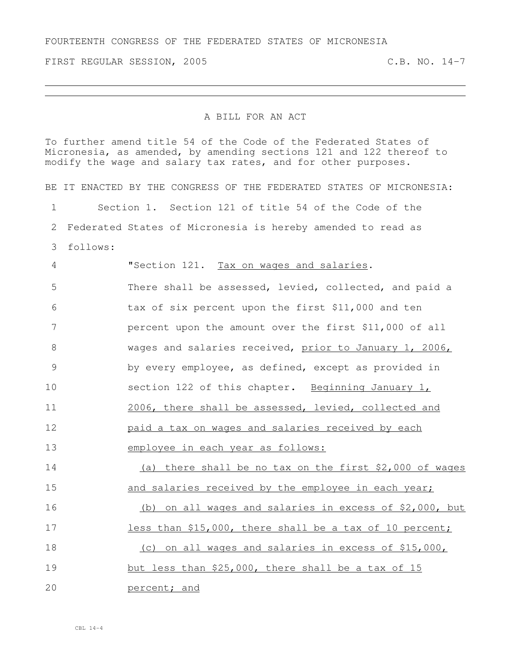FIRST REGULAR SESSION, 2005 C.B. NO. 14-7

## A BILL FOR AN ACT

To further amend title 54 of the Code of the Federated States of Micronesia, as amended, by amending sections 121 and 122 thereof to modify the wage and salary tax rates, and for other purposes.

BE IT ENACTED BY THE CONGRESS OF THE FEDERATED STATES OF MICRONESIA: Section 1. Section 121 of title 54 of the Code of the Federated States of Micronesia is hereby amended to read as follows: **"Section 121.** Tax on wages and salaries. There shall be assessed, levied, collected, and paid a tax of six percent upon the first \$11,000 and ten percent upon the amount over the first \$11,000 of all wages and salaries received, prior to January 1, 2006, by every employee, as defined, except as provided in section 122 of this chapter. Beginning January 1, 2006, there shall be assessed, levied, collected and paid a tax on wages and salaries received by each employee in each year as follows: (a) there shall be no tax on the first \$2,000 of wages 15 and salaries received by the employee in each year; (b) on all wages and salaries in excess of \$2,000, but 17 less than \$15,000, there shall be a tax of 10 percent; (c) on all wages and salaries in excess of \$15,000, but less than \$25,000, there shall be a tax of 15 percent; and

CBL 14-4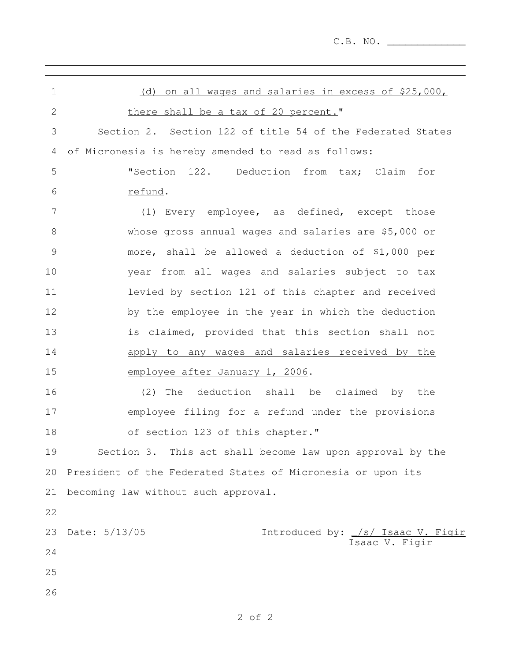C.B. NO. \_\_\_\_\_\_\_\_\_\_\_\_\_

| 1              | (d) on all wages and salaries in excess of \$25,000,                 |
|----------------|----------------------------------------------------------------------|
| $\overline{2}$ | there shall be a tax of 20 percent."                                 |
| 3              | Section 2. Section 122 of title 54 of the Federated States           |
| 4              | of Micronesia is hereby amended to read as follows:                  |
| 5              | "Section 122. Deduction from tax; Claim for                          |
| 6              | refund.                                                              |
| 7              | (1) Every employee, as defined, except those                         |
| 8              | whose gross annual wages and salaries are \$5,000 or                 |
| $\mathcal{G}$  | more, shall be allowed a deduction of \$1,000 per                    |
| 10             | year from all wages and salaries subject to tax                      |
| 11             | levied by section 121 of this chapter and received                   |
| 12             | by the employee in the year in which the deduction                   |
| 13             | is claimed, provided that this section shall not                     |
| 14             | apply to any wages and salaries received by the                      |
| 15             | employee after January 1, 2006.                                      |
| 16             | The deduction shall be claimed by the<br>(2)                         |
| 17             | employee filing for a refund under the provisions                    |
| 18             | of section 123 of this chapter."                                     |
| 19             | Section 3. This act shall become law upon approval by the            |
| 20             | President of the Federated States of Micronesia or upon its          |
| 21             | becoming law without such approval.                                  |
| 22             |                                                                      |
| 23             | Date: 5/13/05<br>Introduced by: /s/ Isaac V. Figir<br>Isaac V. Figir |
| 24             |                                                                      |
| 25             |                                                                      |
| 26             |                                                                      |

and the control of the control of the control of the control of the control of the control of the control of the

## 2 of 2